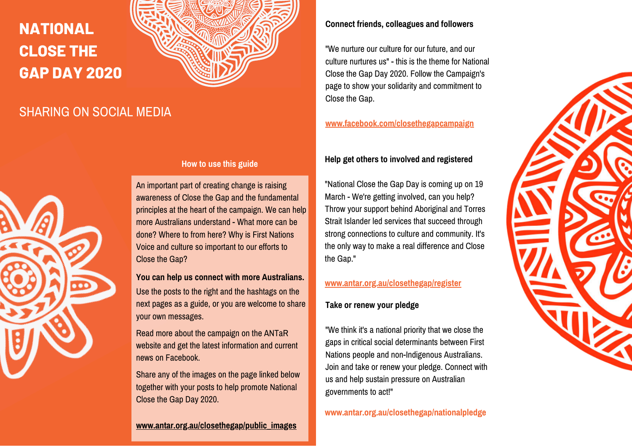## **NATIONAL CLOSE THE GAP DAY 2020**



### SHARING ON SOCIAL MEDIA



#### **How to use this guide**

An important part of creating change is raising awareness of Close the Gap and the fundamental principles at the heart of the campaign. We can help more Australians understand - What more can be done? Where to from here? Why is First Nations Voice and culture so important to our efforts to Close the Gap?

#### **You can help us connect with more Australians.**

Use the posts to the right and the hashtags on the next pages as a guide, or you are welcome to share your own messages.

Read more about the campaign on the ANTaR website and get the latest information and current news on Facebook.

Share any of the images on the page linked below together with your posts to help promote National Close the Gap Day 2020.

**[www.antar.org.au/closethegap/public\\_images](http://www.antar.org.au/closethegap/public_images)**

#### **Connect friends, colleagues and followers**

"We nurture our culture for our future, and our culture nurtures us" - this is the theme for National Close the Gap Day 2020. Follow the Campaign's page to show your solidarity and commitment to Close the Gap.

#### **[www.facebook.com/closethegapcampaign](http://www.facebook.com/closethegap)**

#### **Help get others to involved and registered**

"National Close the Gap Day is coming up on 19 March - We're getting involved, can you help? Throw your support behind Aboriginal and Torres Strait Islander led services that succeed through strong connections to culture and community. It's the only way to make a real difference and Close the Gap."

#### **[www.antar.org.au/closethegap/register](http://www.antar.org.au/closethegap/register)**

#### **Take or renew your pledge**

"We think it's a national priority that we close the gaps in critical social determinants between First Nations people and non-Indigenous Australians. Join and take or renew your pledge. Connect with us and help sustain pressure on Australian governments to act!"

**www.antar.org.au/closethegap/nationalpledge**